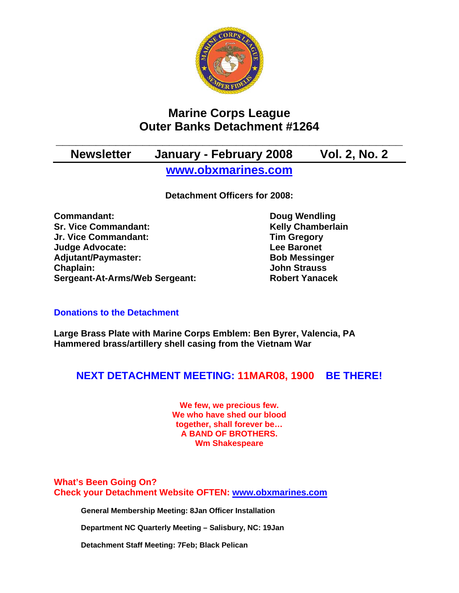

# **Marine Corps League Outer Banks Detachment #1264**

# **\_\_\_\_\_\_\_\_\_\_\_\_\_\_\_\_\_\_\_\_\_\_\_\_\_\_\_\_\_\_\_\_\_\_\_\_\_\_\_\_\_\_\_\_\_\_\_\_\_\_\_\_ Newsletter January - February 2008 Vol. 2, No. 2 [www.obxmarines.com](http://www.obxmarines.com/)**

**Detachment Officers for 2008:** 

**Commandant:** Doug Wendling **Sr. Vice Commandant:** Kelly Chamberlain **Jr. Vice Commandant: Tim Gregory Judge Advocate:** Lee Baronet Adjutant/Paymaster: Bob Messinger **Chaplain: John Strauss Sergeant-At-Arms/Web Sergeant: Robert Yanacek**

## **Donations to the Detachment**

**Large Brass Plate with Marine Corps Emblem: Ben Byrer, Valencia, PA Hammered brass/artillery shell casing from the Vietnam War** 

## **NEXT DETACHMENT MEETING: 11MAR08, 1900 BE THERE!**

**We few, we precious few. We who have shed our blood together, shall forever be… A BAND OF BROTHERS. Wm Shakespeare**

**What's Been Going On? Check your Detachment Website OFTEN: [www.obxmarines.com](http://www.obxmarines.com/)**

**General Membership Meeting: 8Jan Officer Installation** 

**Department NC Quarterly Meeting – Salisbury, NC: 19Jan** 

**Detachment Staff Meeting: 7Feb; Black Pelican**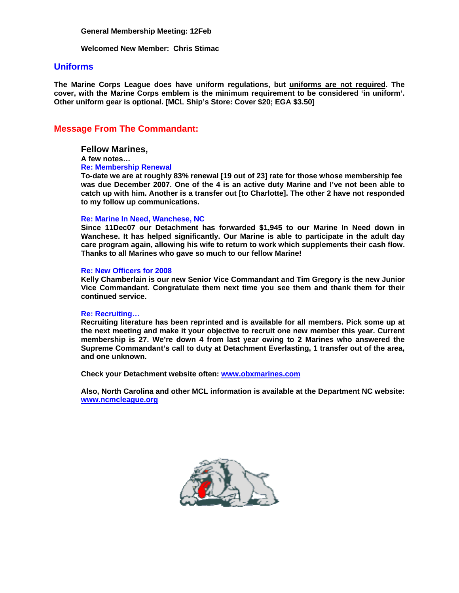**General Membership Meeting: 12Feb**

**Welcomed New Member: Chris Stimac** 

#### **Uniforms**

**The Marine Corps League does have uniform regulations, but uniforms are not required. The cover, with the Marine Corps emblem is the minimum requirement to be considered 'in uniform'. Other uniform gear is optional. [MCL Ship's Store: Cover \$20; EGA \$3.50]** 

### **Message From The Commandant:**

#### **Fellow Marines,**

**A few notes…**

#### **Re: Membership Renewal**

**To-date we are at roughly 83% renewal [19 out of 23] rate for those whose membership fee was due December 2007. One of the 4 is an active duty Marine and I've not been able to catch up with him. Another is a transfer out [to Charlotte]. The other 2 have not responded to my follow up communications.** 

#### **Re: Marine In Need, Wanchese, NC**

**Since 11Dec07 our Detachment has forwarded \$1,945 to our Marine In Need down in Wanchese. It has helped significantly. Our Marine is able to participate in the adult day care program again, allowing his wife to return to work which supplements their cash flow. Thanks to all Marines who gave so much to our fellow Marine!** 

#### **Re: New Officers for 2008**

**Kelly Chamberlain is our new Senior Vice Commandant and Tim Gregory is the new Junior Vice Commandant. Congratulate them next time you see them and thank them for their continued service.** 

#### **Re: Recruiting…**

**Recruiting literature has been reprinted and is available for all members. Pick some up at the next meeting and make it your objective to recruit one new member this year. Current membership is 27. We're down 4 from last year owing to 2 Marines who answered the Supreme Commandant's call to duty at Detachment Everlasting, 1 transfer out of the area, and one unknown.**

**Check your Detachment website often: [www.obxmarines.com](http://www.obxmarines.com/)**

**Also, North Carolina and other MCL information is available at the Department NC website: [www.ncmcleague.org](http://www.ncmcleague.org/)**